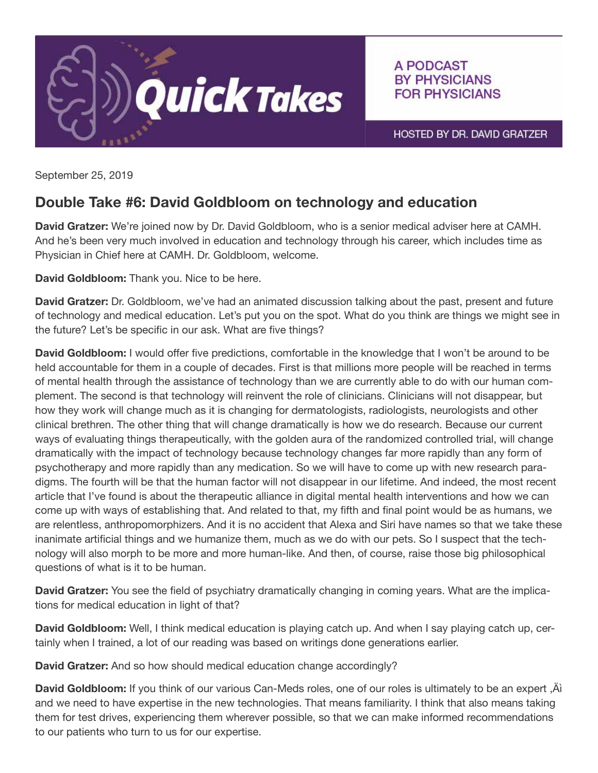

A PODCAST **BY PHYSICIANS FOR PHYSICIANS** 

HOSTED BY DR. DAVID GRATZER

September 25, 2019

## Double Take #6: David Goldbloom on technology and education

David Gratzer: We're joined now by Dr. David Goldbloom, who is a senior medical adviser here at CAMH. And he's been very much involved in education and technology through his career, which includes time as Physician in Chief here at CAMH. Dr. Goldbloom, welcome.

David Goldbloom: Thank you. Nice to be here.

David Gratzer: Dr. Goldbloom, we've had an animated discussion talking about the past, present and future of technology and medical education. Let's put you on the spot. What do you think are things we might see in the future? Let's be specific in our ask. What are five things?

David Goldbloom: I would offer five predictions, comfortable in the knowledge that I won't be around to be held accountable for them in a couple of decades. First is that millions more people will be reached in terms of mental health through the assistance of technology than we are currently able to do with our human complement. The second is that technology will reinvent the role of clinicians. Clinicians will not disappear, but how they work will change much as it is changing for dermatologists, radiologists, neurologists and other clinical brethren. The other thing that will change dramatically is how we do research. Because our current ways of evaluating things therapeutically, with the golden aura of the randomized controlled trial, will change dramatically with the impact of technology because technology changes far more rapidly than any form of psychotherapy and more rapidly than any medication. So we will have to come up with new research paradigms. The fourth will be that the human factor will not disappear in our lifetime. And indeed, the most recent article that I've found is about the therapeutic alliance in digital mental health interventions and how we can come up with ways of establishing that. And related to that, my fifth and final point would be as humans, we are relentless, anthropomorphizers. And it is no accident that Alexa and Siri have names so that we take these inanimate artificial things and we humanize them, much as we do with our pets. So I suspect that the technology will also morph to be more and more human-like. And then, of course, raise those big philosophical questions of what is it to be human.

David Gratzer: You see the field of psychiatry dramatically changing in coming years. What are the implications for medical education in light of that?

David Goldbloom: Well, I think medical education is playing catch up. And when I say playing catch up, certainly when I trained, a lot of our reading was based on writings done generations earlier.

David Gratzer: And so how should medical education change accordingly?

David Goldbloom: If you think of our various Can-Meds roles, one of our roles is ultimately to be an expert,  $\ddot{A}$ and we need to have expertise in the new technologies. That means familiarity. I think that also means taking them for test drives, experiencing them wherever possible, so that we can make informed recommendations to our patients who turn to us for our expertise.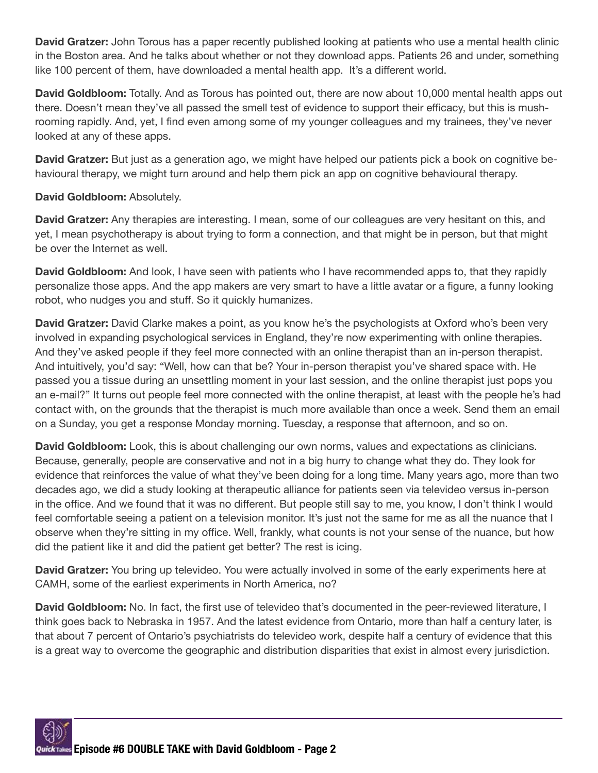David Gratzer: John Torous has a paper recently published looking at patients who use a mental health clinic in the Boston area. And he talks about whether or not they download apps. Patients 26 and under, something like 100 percent of them, have downloaded a mental health app. It's a different world.

David Goldbloom: Totally. And as Torous has pointed out, there are now about 10,000 mental health apps out there. Doesn't mean they've all passed the smell test of evidence to support their efficacy, but this is mushrooming rapidly. And, yet, I find even among some of my younger colleagues and my trainees, they've never looked at any of these apps.

David Gratzer: But just as a generation ago, we might have helped our patients pick a book on cognitive behavioural therapy, we might turn around and help them pick an app on cognitive behavioural therapy.

David Goldbloom: Absolutely.

David Gratzer: Any therapies are interesting. I mean, some of our colleagues are very hesitant on this, and yet, I mean psychotherapy is about trying to form a connection, and that might be in person, but that might be over the Internet as well.

David Goldbloom: And look, I have seen with patients who I have recommended apps to, that they rapidly personalize those apps. And the app makers are very smart to have a little avatar or a figure, a funny looking robot, who nudges you and stuff. So it quickly humanizes.

David Gratzer: David Clarke makes a point, as you know he's the psychologists at Oxford who's been very involved in expanding psychological services in England, they're now experimenting with online therapies. And they've asked people if they feel more connected with an online therapist than an in-person therapist. And intuitively, you'd say: "Well, how can that be? Your in-person therapist you've shared space with. He passed you a tissue during an unsettling moment in your last session, and the online therapist just pops you an e-mail?" It turns out people feel more connected with the online therapist, at least with the people he's had contact with, on the grounds that the therapist is much more available than once a week. Send them an email on a Sunday, you get a response Monday morning. Tuesday, a response that afternoon, and so on.

David Goldbloom: Look, this is about challenging our own norms, values and expectations as clinicians. Because, generally, people are conservative and not in a big hurry to change what they do. They look for evidence that reinforces the value of what they've been doing for a long time. Many years ago, more than two decades ago, we did a study looking at therapeutic alliance for patients seen via televideo versus in-person in the office. And we found that it was no different. But people still say to me, you know, I don't think I would feel comfortable seeing a patient on a television monitor. It's just not the same for me as all the nuance that I observe when they're sitting in my office. Well, frankly, what counts is not your sense of the nuance, but how did the patient like it and did the patient get better? The rest is icing.

David Gratzer: You bring up televideo. You were actually involved in some of the early experiments here at CAMH, some of the earliest experiments in North America, no?

David Goldbloom: No. In fact, the first use of televideo that's documented in the peer-reviewed literature, I think goes back to Nebraska in 1957. And the latest evidence from Ontario, more than half a century later, is that about 7 percent of Ontario's psychiatrists do televideo work, despite half a century of evidence that this is a great way to overcome the geographic and distribution disparities that exist in almost every jurisdiction.